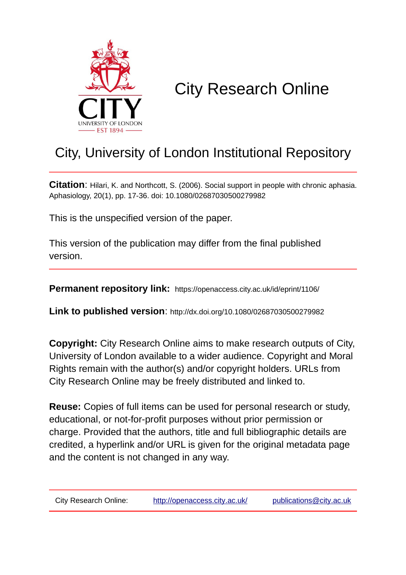

# City Research Online

## City, University of London Institutional Repository

**Citation**: Hilari, K. and Northcott, S. (2006). Social support in people with chronic aphasia. Aphasiology, 20(1), pp. 17-36. doi: 10.1080/02687030500279982

This is the unspecified version of the paper.

This version of the publication may differ from the final published version.

**Permanent repository link:** https://openaccess.city.ac.uk/id/eprint/1106/

**Link to published version**: http://dx.doi.org/10.1080/02687030500279982

**Copyright:** City Research Online aims to make research outputs of City, University of London available to a wider audience. Copyright and Moral Rights remain with the author(s) and/or copyright holders. URLs from City Research Online may be freely distributed and linked to.

**Reuse:** Copies of full items can be used for personal research or study, educational, or not-for-profit purposes without prior permission or charge. Provided that the authors, title and full bibliographic details are credited, a hyperlink and/or URL is given for the original metadata page and the content is not changed in any way.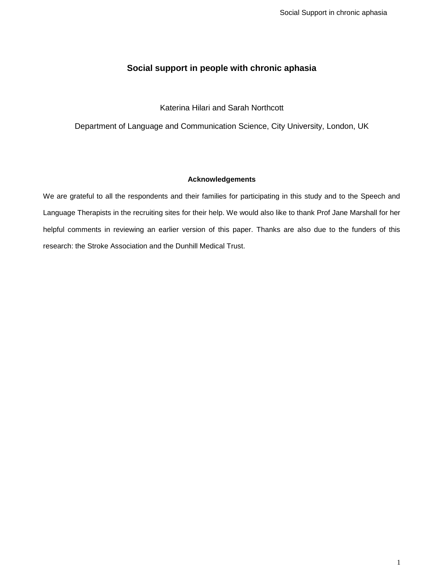## **Social support in people with chronic aphasia**

Katerina Hilari and Sarah Northcott

Department of Language and Communication Science, City University, London, UK

#### **Acknowledgements**

We are grateful to all the respondents and their families for participating in this study and to the Speech and Language Therapists in the recruiting sites for their help. We would also like to thank Prof Jane Marshall for her helpful comments in reviewing an earlier version of this paper. Thanks are also due to the funders of this research: the Stroke Association and the Dunhill Medical Trust.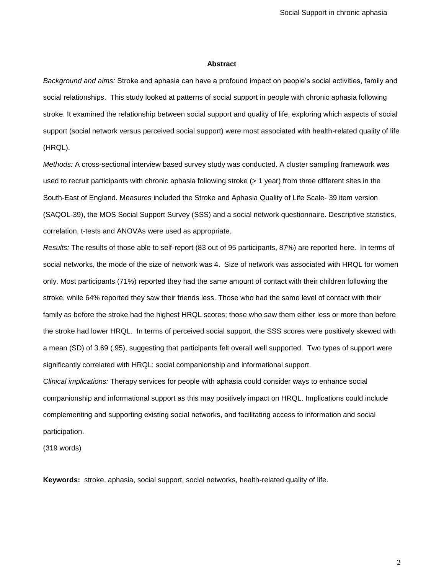#### **Abstract**

*Background and aims:* Stroke and aphasia can have a profound impact on people's social activities, family and social relationships. This study looked at patterns of social support in people with chronic aphasia following stroke. It examined the relationship between social support and quality of life, exploring which aspects of social support (social network versus perceived social support) were most associated with health-related quality of life (HRQL).

*Methods:* A cross-sectional interview based survey study was conducted. A cluster sampling framework was used to recruit participants with chronic aphasia following stroke (> 1 year) from three different sites in the South-East of England. Measures included the Stroke and Aphasia Quality of Life Scale- 39 item version (SAQOL-39), the MOS Social Support Survey (SSS) and a social network questionnaire. Descriptive statistics, correlation, t-tests and ANOVAs were used as appropriate.

*Results:* The results of those able to self-report (83 out of 95 participants, 87%) are reported here. In terms of social networks, the mode of the size of network was 4. Size of network was associated with HRQL for women only. Most participants (71%) reported they had the same amount of contact with their children following the stroke, while 64% reported they saw their friends less. Those who had the same level of contact with their family as before the stroke had the highest HRQL scores; those who saw them either less or more than before the stroke had lower HRQL. In terms of perceived social support, the SSS scores were positively skewed with a mean (SD) of 3.69 (.95), suggesting that participants felt overall well supported. Two types of support were significantly correlated with HRQL: social companionship and informational support.

*Clinical implications:* Therapy services for people with aphasia could consider ways to enhance social companionship and informational support as this may positively impact on HRQL. Implications could include complementing and supporting existing social networks, and facilitating access to information and social participation.

(319 words)

**Keywords:** stroke, aphasia, social support, social networks, health-related quality of life.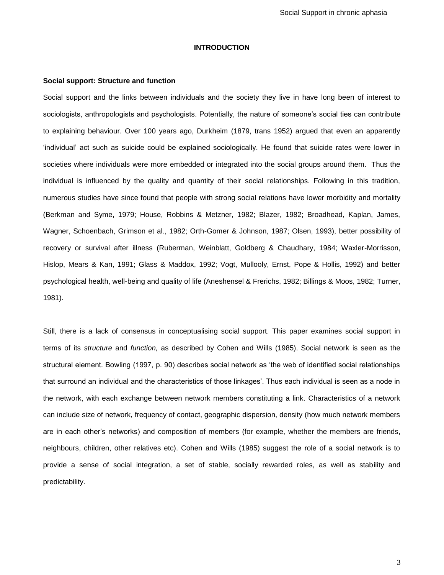#### **INTRODUCTION**

#### **Social support: Structure and function**

Social support and the links between individuals and the society they live in have long been of interest to sociologists, anthropologists and psychologists. Potentially, the nature of someone's social ties can contribute to explaining behaviour. Over 100 years ago, Durkheim (1879, trans 1952) argued that even an apparently 'individual' act such as suicide could be explained sociologically. He found that suicide rates were lower in societies where individuals were more embedded or integrated into the social groups around them. Thus the individual is influenced by the quality and quantity of their social relationships. Following in this tradition, numerous studies have since found that people with strong social relations have lower morbidity and mortality (Berkman and Syme, 1979; House, Robbins & Metzner, 1982; Blazer, 1982; Broadhead, Kaplan, James, Wagner, Schoenbach, Grimson et al., 1982; Orth-Gomer & Johnson, 1987; Olsen, 1993), better possibility of recovery or survival after illness (Ruberman, Weinblatt, Goldberg & Chaudhary, 1984; Waxler-Morrisson, Hislop, Mears & Kan, 1991; Glass & Maddox, 1992; Vogt, Mullooly, Ernst, Pope & Hollis, 1992) and better psychological health, well-being and quality of life (Aneshensel & Frerichs, 1982; Billings & Moos, 1982; Turner, 1981).

Still, there is a lack of consensus in conceptualising social support. This paper examines social support in terms of its *structure* and *function,* as described by Cohen and Wills (1985). Social network is seen as the structural element. Bowling (1997, p. 90) describes social network as 'the web of identified social relationships that surround an individual and the characteristics of those linkages'. Thus each individual is seen as a node in the network, with each exchange between network members constituting a link. Characteristics of a network can include size of network, frequency of contact, geographic dispersion, density (how much network members are in each other's networks) and composition of members (for example, whether the members are friends, neighbours, children, other relatives etc). Cohen and Wills (1985) suggest the role of a social network is to provide a sense of social integration, a set of stable, socially rewarded roles, as well as stability and predictability.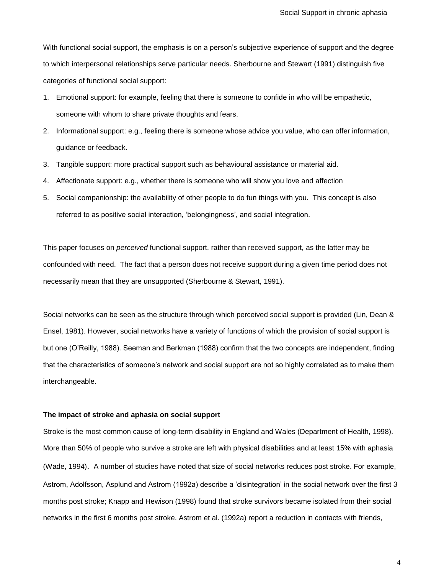With functional social support, the emphasis is on a person's subjective experience of support and the degree to which interpersonal relationships serve particular needs. Sherbourne and Stewart (1991) distinguish five categories of functional social support:

- 1. Emotional support: for example, feeling that there is someone to confide in who will be empathetic, someone with whom to share private thoughts and fears.
- 2. Informational support: e.g., feeling there is someone whose advice you value, who can offer information, guidance or feedback.
- 3. Tangible support: more practical support such as behavioural assistance or material aid.
- 4. Affectionate support: e.g., whether there is someone who will show you love and affection
- 5. Social companionship: the availability of other people to do fun things with you. This concept is also referred to as positive social interaction, 'belongingness', and social integration.

This paper focuses on *perceived* functional support, rather than received support, as the latter may be confounded with need. The fact that a person does not receive support during a given time period does not necessarily mean that they are unsupported (Sherbourne & Stewart, 1991).

Social networks can be seen as the structure through which perceived social support is provided (Lin, Dean & Ensel, 1981). However, social networks have a variety of functions of which the provision of social support is but one (O'Reilly, 1988). Seeman and Berkman (1988) confirm that the two concepts are independent, finding that the characteristics of someone's network and social support are not so highly correlated as to make them interchangeable.

#### **The impact of stroke and aphasia on social support**

Stroke is the most common cause of long-term disability in England and Wales (Department of Health, 1998). More than 50% of people who survive a stroke are left with physical disabilities and at least 15% with aphasia (Wade, 1994). A number of studies have noted that size of social networks reduces post stroke. For example, Astrom, Adolfsson, Asplund and Astrom (1992a) describe a 'disintegration' in the social network over the first 3 months post stroke; Knapp and Hewison (1998) found that stroke survivors became isolated from their social networks in the first 6 months post stroke. Astrom et al. (1992a) report a reduction in contacts with friends,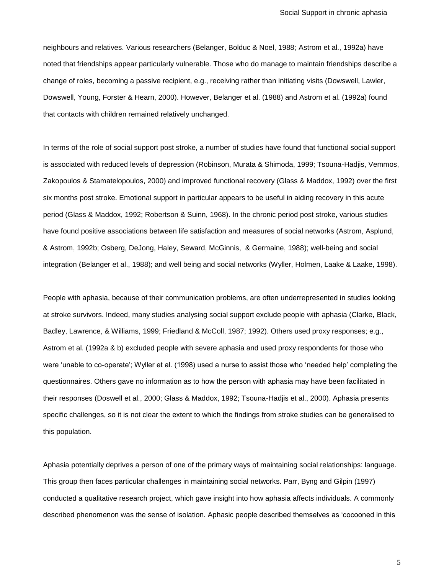neighbours and relatives. Various researchers (Belanger, Bolduc & Noel, 1988; Astrom et al., 1992a) have noted that friendships appear particularly vulnerable. Those who do manage to maintain friendships describe a change of roles, becoming a passive recipient, e.g., receiving rather than initiating visits (Dowswell, Lawler, Dowswell, Young, Forster & Hearn, 2000). However, Belanger et al. (1988) and Astrom et al. (1992a) found that contacts with children remained relatively unchanged.

In terms of the role of social support post stroke, a number of studies have found that functional social support is associated with reduced levels of depression (Robinson, Murata & Shimoda, 1999; Tsouna-Hadjis, Vemmos, Zakopoulos & Stamatelopoulos, 2000) and improved functional recovery (Glass & Maddox, 1992) over the first six months post stroke. Emotional support in particular appears to be useful in aiding recovery in this acute period (Glass & Maddox, 1992; Robertson & Suinn, 1968). In the chronic period post stroke, various studies have found positive associations between life satisfaction and measures of social networks (Astrom, Asplund, & Astrom, 1992b; Osberg, DeJong, Haley, Seward, McGinnis, & Germaine, 1988); well-being and social integration (Belanger et al., 1988); and well being and social networks (Wyller, Holmen, Laake & Laake, 1998).

People with aphasia, because of their communication problems, are often underrepresented in studies looking at stroke survivors. Indeed, many studies analysing social support exclude people with aphasia (Clarke, Black, Badley, Lawrence, & Williams, 1999; Friedland & McColl, 1987; 1992). Others used proxy responses; e.g., Astrom et al. (1992a & b) excluded people with severe aphasia and used proxy respondents for those who were 'unable to co-operate'; Wyller et al. (1998) used a nurse to assist those who 'needed help' completing the questionnaires. Others gave no information as to how the person with aphasia may have been facilitated in their responses (Doswell et al., 2000; Glass & Maddox, 1992; Tsouna-Hadjis et al., 2000). Aphasia presents specific challenges, so it is not clear the extent to which the findings from stroke studies can be generalised to this population.

Aphasia potentially deprives a person of one of the primary ways of maintaining social relationships: language. This group then faces particular challenges in maintaining social networks. Parr, Byng and Gilpin (1997) conducted a qualitative research project, which gave insight into how aphasia affects individuals. A commonly described phenomenon was the sense of isolation. Aphasic people described themselves as 'cocooned in this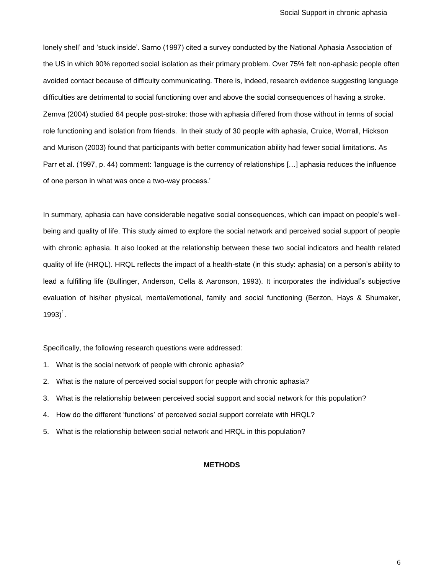lonely shell' and 'stuck inside'. Sarno (1997) cited a survey conducted by the National Aphasia Association of the US in which 90% reported social isolation as their primary problem. Over 75% felt non-aphasic people often avoided contact because of difficulty communicating. There is, indeed, research evidence suggesting language difficulties are detrimental to social functioning over and above the social consequences of having a stroke. Zemva (2004) studied 64 people post-stroke: those with aphasia differed from those without in terms of social role functioning and isolation from friends. In their study of 30 people with aphasia, Cruice, Worrall, Hickson and Murison (2003) found that participants with better communication ability had fewer social limitations. As Parr et al. (1997, p. 44) comment: 'language is the currency of relationships […] aphasia reduces the influence of one person in what was once a two-way process.'

In summary, aphasia can have considerable negative social consequences, which can impact on people's wellbeing and quality of life. This study aimed to explore the social network and perceived social support of people with chronic aphasia. It also looked at the relationship between these two social indicators and health related quality of life (HRQL). HRQL reflects the impact of a health-state (in this study: aphasia) on a person's ability to lead a fulfilling life (Bullinger, Anderson, Cella & Aaronson, 1993). It incorporates the individual's subjective evaluation of his/her physical, mental/emotional, family and social functioning (Berzon, Hays & Shumaker,  $1993)^{1}$ .

Specifically, the following research questions were addressed:

- 1. What is the social network of people with chronic aphasia?
- 2. What is the nature of perceived social support for people with chronic aphasia?
- 3. What is the relationship between perceived social support and social network for this population?
- 4. How do the different 'functions' of perceived social support correlate with HRQL?
- 5. What is the relationship between social network and HRQL in this population?

#### **METHODS**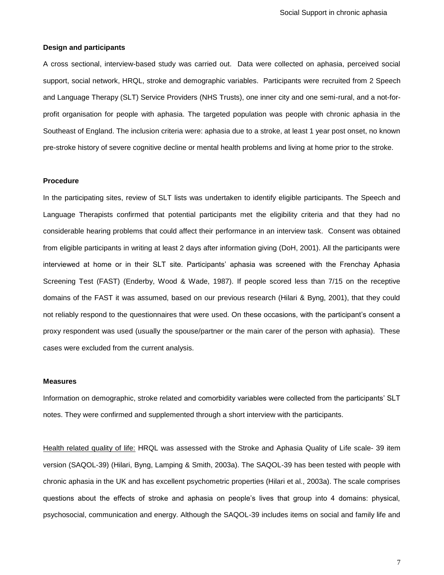#### **Design and participants**

A cross sectional, interview-based study was carried out. Data were collected on aphasia, perceived social support, social network, HRQL, stroke and demographic variables. Participants were recruited from 2 Speech and Language Therapy (SLT) Service Providers (NHS Trusts), one inner city and one semi-rural, and a not-forprofit organisation for people with aphasia. The targeted population was people with chronic aphasia in the Southeast of England. The inclusion criteria were: aphasia due to a stroke, at least 1 year post onset, no known pre-stroke history of severe cognitive decline or mental health problems and living at home prior to the stroke.

#### **Procedure**

In the participating sites, review of SLT lists was undertaken to identify eligible participants. The Speech and Language Therapists confirmed that potential participants met the eligibility criteria and that they had no considerable hearing problems that could affect their performance in an interview task. Consent was obtained from eligible participants in writing at least 2 days after information giving (DoH, 2001). All the participants were interviewed at home or in their SLT site. Participants' aphasia was screened with the Frenchay Aphasia Screening Test (FAST) (Enderby, Wood & Wade, 1987). If people scored less than 7/15 on the receptive domains of the FAST it was assumed, based on our previous research (Hilari & Byng, 2001), that they could not reliably respond to the questionnaires that were used. On these occasions, with the participant's consent a proxy respondent was used (usually the spouse/partner or the main carer of the person with aphasia). These cases were excluded from the current analysis.

#### **Measures**

Information on demographic, stroke related and comorbidity variables were collected from the participants' SLT notes. They were confirmed and supplemented through a short interview with the participants.

Health related quality of life: HRQL was assessed with the Stroke and Aphasia Quality of Life scale- 39 item version (SAQOL-39) (Hilari, Byng, Lamping & Smith, 2003a). The SAQOL-39 has been tested with people with chronic aphasia in the UK and has excellent psychometric properties (Hilari et al., 2003a). The scale comprises questions about the effects of stroke and aphasia on people's lives that group into 4 domains: physical, psychosocial, communication and energy. Although the SAQOL-39 includes items on social and family life and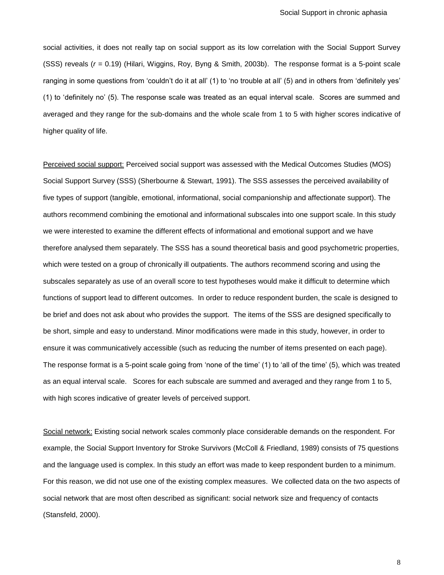social activities, it does not really tap on social support as its low correlation with the Social Support Survey (SSS) reveals (*r* = 0.19) (Hilari, Wiggins, Roy, Byng & Smith, 2003b). The response format is a 5-point scale ranging in some questions from 'couldn't do it at all' (1) to 'no trouble at all' (5) and in others from 'definitely yes' (1) to 'definitely no' (5). The response scale was treated as an equal interval scale. Scores are summed and averaged and they range for the sub-domains and the whole scale from 1 to 5 with higher scores indicative of higher quality of life.

Perceived social support: Perceived social support was assessed with the Medical Outcomes Studies (MOS) Social Support Survey (SSS) (Sherbourne & Stewart, 1991). The SSS assesses the perceived availability of five types of support (tangible, emotional, informational, social companionship and affectionate support). The authors recommend combining the emotional and informational subscales into one support scale. In this study we were interested to examine the different effects of informational and emotional support and we have therefore analysed them separately. The SSS has a sound theoretical basis and good psychometric properties, which were tested on a group of chronically ill outpatients. The authors recommend scoring and using the subscales separately as use of an overall score to test hypotheses would make it difficult to determine which functions of support lead to different outcomes.In order to reduce respondent burden, the scale is designed to be brief and does not ask about who provides the support. The items of the SSS are designed specifically to be short, simple and easy to understand. Minor modifications were made in this study, however, in order to ensure it was communicatively accessible (such as reducing the number of items presented on each page). The response format is a 5-point scale going from 'none of the time' (1) to 'all of the time' (5), which was treated as an equal interval scale. Scores for each subscale are summed and averaged and they range from 1 to 5, with high scores indicative of greater levels of perceived support.

Social network: Existing social network scales commonly place considerable demands on the respondent. For example, the Social Support Inventory for Stroke Survivors (McColl & Friedland, 1989) consists of 75 questions and the language used is complex. In this study an effort was made to keep respondent burden to a minimum. For this reason, we did not use one of the existing complex measures. We collected data on the two aspects of social network that are most often described as significant: social network size and frequency of contacts (Stansfeld, 2000).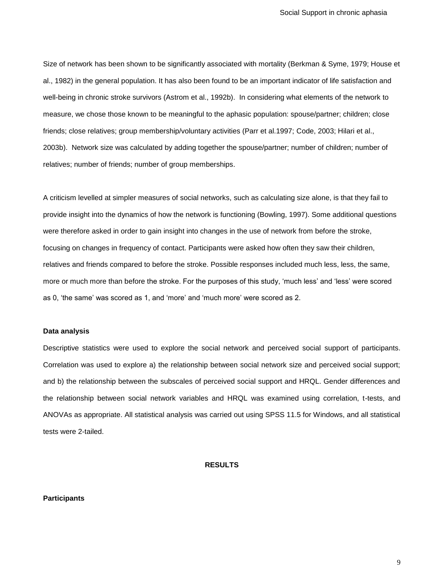Size of network has been shown to be significantly associated with mortality (Berkman & Syme, 1979; House et al., 1982) in the general population. It has also been found to be an important indicator of life satisfaction and well-being in chronic stroke survivors (Astrom et al., 1992b). In considering what elements of the network to measure, we chose those known to be meaningful to the aphasic population: spouse/partner; children; close friends; close relatives; group membership/voluntary activities (Parr et al.1997; Code, 2003; Hilari et al., 2003b). Network size was calculated by adding together the spouse/partner; number of children; number of relatives; number of friends; number of group memberships.

A criticism levelled at simpler measures of social networks, such as calculating size alone, is that they fail to provide insight into the dynamics of how the network is functioning (Bowling, 1997). Some additional questions were therefore asked in order to gain insight into changes in the use of network from before the stroke, focusing on changes in frequency of contact. Participants were asked how often they saw their children, relatives and friends compared to before the stroke. Possible responses included much less, less, the same, more or much more than before the stroke. For the purposes of this study, 'much less' and 'less' were scored as 0, 'the same' was scored as 1, and 'more' and 'much more' were scored as 2.

#### **Data analysis**

Descriptive statistics were used to explore the social network and perceived social support of participants. Correlation was used to explore a) the relationship between social network size and perceived social support; and b) the relationship between the subscales of perceived social support and HRQL. Gender differences and the relationship between social network variables and HRQL was examined using correlation, t-tests, and ANOVAs as appropriate. All statistical analysis was carried out using SPSS 11.5 for Windows, and all statistical tests were 2-tailed.

#### **RESULTS**

#### **Participants**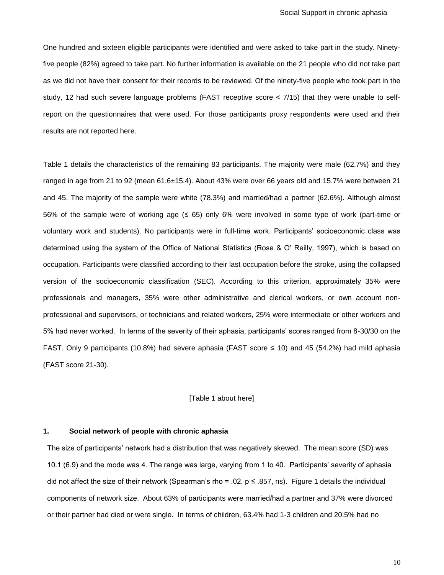One hundred and sixteen eligible participants were identified and were asked to take part in the study. Ninetyfive people (82%) agreed to take part. No further information is available on the 21 people who did not take part as we did not have their consent for their records to be reviewed. Of the ninety-five people who took part in the study, 12 had such severe language problems (FAST receptive score < 7/15) that they were unable to selfreport on the questionnaires that were used. For those participants proxy respondents were used and their results are not reported here.

Table 1 details the characteristics of the remaining 83 participants. The majority were male (62.7%) and they ranged in age from 21 to 92 (mean 61.6±15.4). About 43% were over 66 years old and 15.7% were between 21 and 45. The majority of the sample were white (78.3%) and married/had a partner (62.6%). Although almost 56% of the sample were of working age (≤ 65) only 6% were involved in some type of work (part-time or voluntary work and students). No participants were in full-time work. Participants' socioeconomic class was determined using the system of the Office of National Statistics (Rose & O' Reilly, 1997), which is based on occupation. Participants were classified according to their last occupation before the stroke, using the collapsed version of the socioeconomic classification (SEC). According to this criterion, approximately 35% were professionals and managers, 35% were other administrative and clerical workers, or own account nonprofessional and supervisors, or technicians and related workers, 25% were intermediate or other workers and 5% had never worked. In terms of the severity of their aphasia, participants' scores ranged from 8-30/30 on the FAST. Only 9 participants (10.8%) had severe aphasia (FAST score ≤ 10) and 45 (54.2%) had mild aphasia (FAST score 21-30).

#### [Table 1 about here]

#### **1. Social network of people with chronic aphasia**

The size of participants' network had a distribution that was negatively skewed. The mean score (SD) was 10.1 (6.9) and the mode was 4. The range was large, varying from 1 to 40. Participants' severity of aphasia did not affect the size of their network (Spearman's rho = .02.  $p$  ≤ .857, ns). Figure 1 details the individual components of network size. About 63% of participants were married/had a partner and 37% were divorced or their partner had died or were single. In terms of children, 63.4% had 1-3 children and 20.5% had no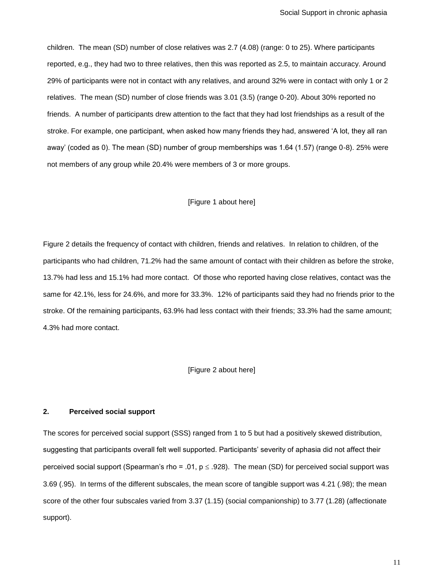children. The mean (SD) number of close relatives was 2.7 (4.08) (range: 0 to 25). Where participants reported, e.g., they had two to three relatives, then this was reported as 2.5, to maintain accuracy. Around 29% of participants were not in contact with any relatives, and around 32% were in contact with only 1 or 2 relatives. The mean (SD) number of close friends was 3.01 (3.5) (range 0-20). About 30% reported no friends. A number of participants drew attention to the fact that they had lost friendships as a result of the stroke. For example, one participant, when asked how many friends they had, answered 'A lot, they all ran away' (coded as 0). The mean (SD) number of group memberships was 1.64 (1.57) (range 0-8). 25% were not members of any group while 20.4% were members of 3 or more groups.

#### [Figure 1 about here]

Figure 2 details the frequency of contact with children, friends and relatives. In relation to children, of the participants who had children, 71.2% had the same amount of contact with their children as before the stroke, 13.7% had less and 15.1% had more contact. Of those who reported having close relatives, contact was the same for 42.1%, less for 24.6%, and more for 33.3%. 12% of participants said they had no friends prior to the stroke. Of the remaining participants, 63.9% had less contact with their friends; 33.3% had the same amount; 4.3% had more contact.

#### [Figure 2 about here]

#### **2. Perceived social support**

The scores for perceived social support (SSS) ranged from 1 to 5 but had a positively skewed distribution, suggesting that participants overall felt well supported. Participants' severity of aphasia did not affect their perceived social support (Spearman's rho = .01,  $p \le 0.928$ ). The mean (SD) for perceived social support was 3.69 (.95). In terms of the different subscales, the mean score of tangible support was 4.21 (.98); the mean score of the other four subscales varied from 3.37 (1.15) (social companionship) to 3.77 (1.28) (affectionate support).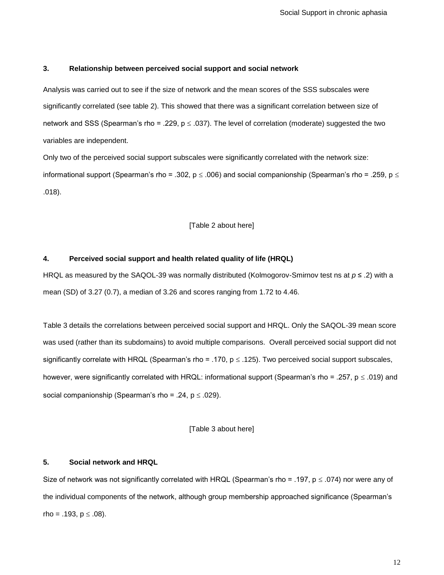#### **3. Relationship between perceived social support and social network**

Analysis was carried out to see if the size of network and the mean scores of the SSS subscales were significantly correlated (see table 2). This showed that there was a significant correlation between size of network and SSS (Spearman's rho = .229,  $p \le 0.037$ ). The level of correlation (moderate) suggested the two variables are independent.

Only two of the perceived social support subscales were significantly correlated with the network size: informational support (Spearman's rho = .302, p  $\leq$  .006) and social companionship (Spearman's rho = .259, p  $\leq$ .018).

#### [Table 2 about here]

#### **4. Perceived social support and health related quality of life (HRQL)**

HRQL as measured by the SAQOL-39 was normally distributed (Kolmogorov-Smirnov test ns at *p* ≤ .2) with a mean (SD) of 3.27 (0.7), a median of 3.26 and scores ranging from 1.72 to 4.46.

Table 3 details the correlations between perceived social support and HRQL. Only the SAQOL-39 mean score was used (rather than its subdomains) to avoid multiple comparisons. Overall perceived social support did not significantly correlate with HRQL (Spearman's rho = .170,  $p \le .125$ ). Two perceived social support subscales, however, were significantly correlated with HRQL: informational support (Spearman's rho = .257,  $p \le .019$ ) and social companionship (Spearman's rho = .24,  $p \leq .029$ ).

#### [Table 3 about here]

#### **5. Social network and HRQL**

Size of network was not significantly correlated with HRQL (Spearman's rho = .197,  $p \le .074$ ) nor were any of the individual components of the network, although group membership approached significance (Spearman's rho =  $.193, p \le .08$ ).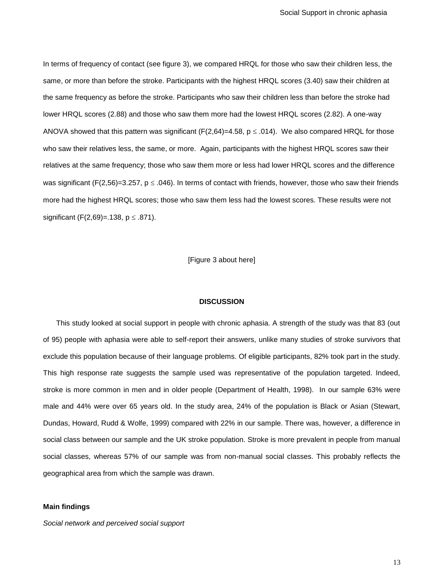In terms of frequency of contact (see figure 3), we compared HRQL for those who saw their children less, the same, or more than before the stroke. Participants with the highest HRQL scores (3.40) saw their children at the same frequency as before the stroke. Participants who saw their children less than before the stroke had lower HRQL scores (2.88) and those who saw them more had the lowest HRQL scores (2.82). A one-way ANOVA showed that this pattern was significant ( $F(2,64)=4.58$ ,  $p \le .014$ ). We also compared HRQL for those who saw their relatives less, the same, or more. Again, participants with the highest HRQL scores saw their relatives at the same frequency; those who saw them more or less had lower HRQL scores and the difference was significant (F(2,56)=3.257,  $p \le 0.046$ ). In terms of contact with friends, however, those who saw their friends more had the highest HRQL scores; those who saw them less had the lowest scores. These results were not significant (F(2,69)=.138,  $p \le .871$ ).

[Figure 3 about here]

#### **DISCUSSION**

This study looked at social support in people with chronic aphasia. A strength of the study was that 83 (out of 95) people with aphasia were able to self-report their answers, unlike many studies of stroke survivors that exclude this population because of their language problems. Of eligible participants, 82% took part in the study. This high response rate suggests the sample used was representative of the population targeted. Indeed, stroke is more common in men and in older people (Department of Health, 1998). In our sample 63% were male and 44% were over 65 years old. In the study area, 24% of the population is Black or Asian (Stewart, Dundas, Howard, Rudd & Wolfe, 1999) compared with 22% in our sample. There was, however, a difference in social class between our sample and the UK stroke population. Stroke is more prevalent in people from manual social classes, whereas 57% of our sample was from non-manual social classes. This probably reflects the geographical area from which the sample was drawn.

#### **Main findings**

*Social network and perceived social support*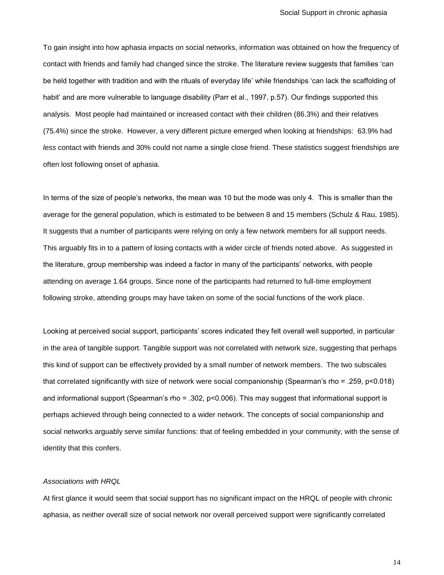To gain insight into how aphasia impacts on social networks, information was obtained on how the frequency of contact with friends and family had changed since the stroke. The literature review suggests that families 'can be held together with tradition and with the rituals of everyday life' while friendships 'can lack the scaffolding of habit' and are more vulnerable to language disability (Parr et al., 1997, p.57). Our findings supported this analysis. Most people had maintained or increased contact with their children (86.3%) and their relatives (75.4%) since the stroke. However, a very different picture emerged when looking at friendships: 63.9% had *less* contact with friends and 30% could not name a single close friend. These statistics suggest friendships are often lost following onset of aphasia.

In terms of the size of people's networks, the mean was 10 but the mode was only 4. This is smaller than the average for the general population, which is estimated to be between 8 and 15 members (Schulz & Rau, 1985). It suggests that a number of participants were relying on only a few network members for all support needs. This arguably fits in to a pattern of losing contacts with a wider circle of friends noted above. As suggested in the literature, group membership was indeed a factor in many of the participants' networks, with people attending on average 1.64 groups. Since none of the participants had returned to full-time employment following stroke, attending groups may have taken on some of the social functions of the work place.

Looking at perceived social support, participants' scores indicated they felt overall well supported, in particular in the area of tangible support. Tangible support was not correlated with network size, suggesting that perhaps this kind of support can be effectively provided by a small number of network members. The two subscales that correlated significantly with size of network were social companionship (Spearman's rho = .259, p<0.018) and informational support (Spearman's rho = .302, p<0.006). This may suggest that informational support is perhaps achieved through being connected to a wider network. The concepts of social companionship and social networks arguably serve similar functions: that of feeling embedded in your community, with the sense of identity that this confers.

#### *Associations with HRQL*

At first glance it would seem that social support has no significant impact on the HRQL of people with chronic aphasia, as neither overall size of social network nor overall perceived support were significantly correlated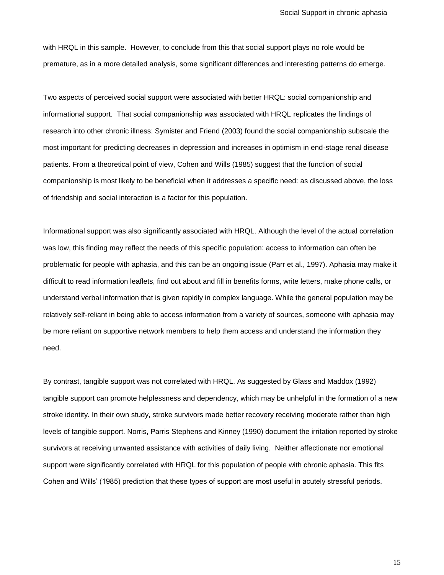with HRQL in this sample. However, to conclude from this that social support plays no role would be premature, as in a more detailed analysis, some significant differences and interesting patterns do emerge.

Two aspects of perceived social support were associated with better HRQL: social companionship and informational support. That social companionship was associated with HRQL replicates the findings of research into other chronic illness: Symister and Friend (2003) found the social companionship subscale the most important for predicting decreases in depression and increases in optimism in end-stage renal disease patients. From a theoretical point of view, Cohen and Wills (1985) suggest that the function of social companionship is most likely to be beneficial when it addresses a specific need: as discussed above, the loss of friendship and social interaction is a factor for this population.

Informational support was also significantly associated with HRQL. Although the level of the actual correlation was low, this finding may reflect the needs of this specific population: access to information can often be problematic for people with aphasia, and this can be an ongoing issue (Parr et al., 1997). Aphasia may make it difficult to read information leaflets, find out about and fill in benefits forms, write letters, make phone calls, or understand verbal information that is given rapidly in complex language. While the general population may be relatively self-reliant in being able to access information from a variety of sources, someone with aphasia may be more reliant on supportive network members to help them access and understand the information they need.

By contrast, tangible support was not correlated with HRQL. As suggested by Glass and Maddox (1992) tangible support can promote helplessness and dependency, which may be unhelpful in the formation of a new stroke identity. In their own study, stroke survivors made better recovery receiving moderate rather than high levels of tangible support. Norris, Parris Stephens and Kinney (1990) document the irritation reported by stroke survivors at receiving unwanted assistance with activities of daily living. Neither affectionate nor emotional support were significantly correlated with HRQL for this population of people with chronic aphasia. This fits Cohen and Wills' (1985) prediction that these types of support are most useful in acutely stressful periods.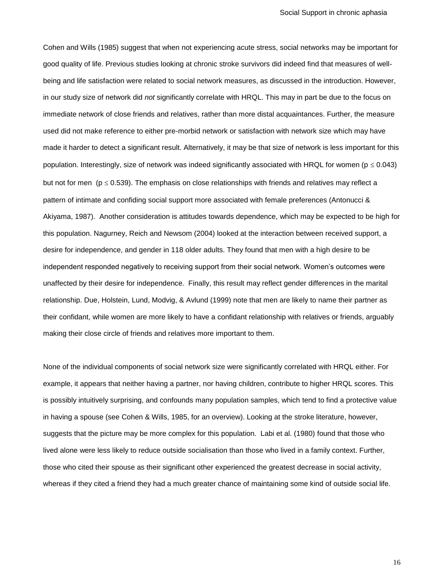Cohen and Wills (1985) suggest that when not experiencing acute stress, social networks may be important for good quality of life. Previous studies looking at chronic stroke survivors did indeed find that measures of wellbeing and life satisfaction were related to social network measures, as discussed in the introduction. However, in our study size of network did *not* significantly correlate with HRQL. This may in part be due to the focus on immediate network of close friends and relatives, rather than more distal acquaintances. Further, the measure used did not make reference to either pre-morbid network or satisfaction with network size which may have made it harder to detect a significant result. Alternatively, it may be that size of network is less important for this population. Interestingly, size of network was indeed significantly associated with HRQL for women ( $p \le 0.043$ ) but not for men ( $p \le 0.539$ ). The emphasis on close relationships with friends and relatives may reflect a pattern of intimate and confiding social support more associated with female preferences (Antonucci & Akiyama, 1987). Another consideration is attitudes towards dependence, which may be expected to be high for this population. Nagurney, Reich and Newsom (2004) looked at the interaction between received support, a desire for independence, and gender in 118 older adults. They found that men with a high desire to be independent responded negatively to receiving support from their social network. Women's outcomes were unaffected by their desire for independence. Finally, this result may reflect gender differences in the marital relationship. Due, Holstein, Lund, Modvig, & Avlund (1999) note that men are likely to name their partner as their confidant, while women are more likely to have a confidant relationship with relatives or friends, arguably making their close circle of friends and relatives more important to them.

None of the individual components of social network size were significantly correlated with HRQL either. For example, it appears that neither having a partner, nor having children, contribute to higher HRQL scores. This is possibly intuitively surprising, and confounds many population samples, which tend to find a protective value in having a spouse (see Cohen & Wills, 1985, for an overview). Looking at the stroke literature, however, suggests that the picture may be more complex for this population. Labi et al. (1980) found that those who lived alone were less likely to reduce outside socialisation than those who lived in a family context. Further, those who cited their spouse as their significant other experienced the greatest decrease in social activity, whereas if they cited a friend they had a much greater chance of maintaining some kind of outside social life.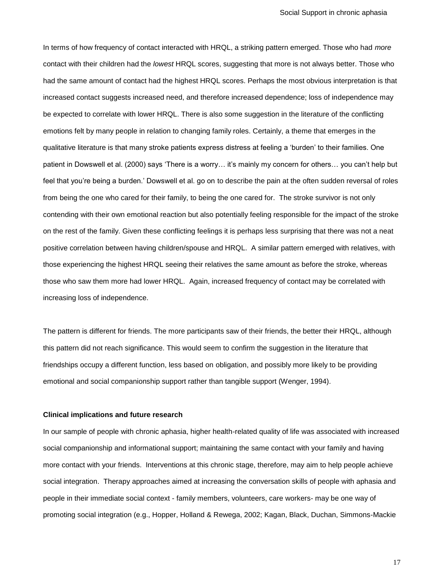In terms of how frequency of contact interacted with HRQL, a striking pattern emerged. Those who had *more*  contact with their children had the *lowest* HRQL scores, suggesting that more is not always better. Those who had the same amount of contact had the highest HRQL scores. Perhaps the most obvious interpretation is that increased contact suggests increased need, and therefore increased dependence; loss of independence may be expected to correlate with lower HRQL. There is also some suggestion in the literature of the conflicting emotions felt by many people in relation to changing family roles. Certainly, a theme that emerges in the qualitative literature is that many stroke patients express distress at feeling a 'burden' to their families. One patient in Dowswell et al. (2000) says 'There is a worry… it's mainly my concern for others… you can't help but feel that you're being a burden.' Dowswell et al. go on to describe the pain at the often sudden reversal of roles from being the one who cared for their family, to being the one cared for. The stroke survivor is not only contending with their own emotional reaction but also potentially feeling responsible for the impact of the stroke on the rest of the family. Given these conflicting feelings it is perhaps less surprising that there was not a neat positive correlation between having children/spouse and HRQL. A similar pattern emerged with relatives, with those experiencing the highest HRQL seeing their relatives the same amount as before the stroke, whereas those who saw them more had lower HRQL. Again, increased frequency of contact may be correlated with increasing loss of independence.

The pattern is different for friends. The more participants saw of their friends, the better their HRQL, although this pattern did not reach significance. This would seem to confirm the suggestion in the literature that friendships occupy a different function, less based on obligation, and possibly more likely to be providing emotional and social companionship support rather than tangible support (Wenger, 1994).

#### **Clinical implications and future research**

In our sample of people with chronic aphasia, higher health-related quality of life was associated with increased social companionship and informational support; maintaining the same contact with your family and having more contact with your friends. Interventions at this chronic stage, therefore, may aim to help people achieve social integration. Therapy approaches aimed at increasing the conversation skills of people with aphasia and people in their immediate social context - family members, volunteers, care workers- may be one way of promoting social integration (e.g., Hopper, Holland & Rewega, 2002; Kagan, Black, Duchan, Simmons-Mackie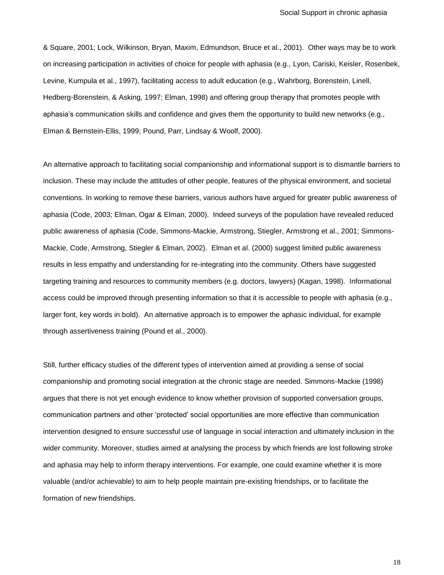& Square, 2001; Lock, Wilkinson, Bryan, Maxim, Edmundson, Bruce et al., 2001). Other ways may be to work on increasing participation in activities of choice for people with aphasia (e.g., Lyon, Cariski, Keisler, Rosenbek, Levine, Kumpula et al., 1997), facilitating access to adult education (e.g., Wahrborg, Borenstein, Linell, Hedberg-Borenstein, & Asking, 1997; Elman, 1998) and offering group therapy that promotes people with aphasia's communication skills and confidence and gives them the opportunity to build new networks (e.g., Elman & Bernstein-Ellis, 1999; Pound, Parr, Lindsay & Woolf, 2000).

An alternative approach to facilitating social companionship and informational support is to dismantle barriers to inclusion. These may include the attitudes of other people, features of the physical environment, and societal conventions. In working to remove these barriers, various authors have argued for greater public awareness of aphasia (Code, 2003; Elman, Ogar & Elman, 2000). Indeed surveys of the population have revealed reduced public awareness of aphasia (Code, Simmons-Mackie, Armstrong, Stiegler, Armstrong et al., 2001; Simmons-Mackie, Code, Armstrong, Stiegler & Elman, 2002). Elman et al. (2000) suggest limited public awareness results in less empathy and understanding for re-integrating into the community. Others have suggested targeting training and resources to community members (e.g. doctors, lawyers) (Kagan, 1998). Informational access could be improved through presenting information so that it is accessible to people with aphasia (e.g., larger font, key words in bold). An alternative approach is to empower the aphasic individual, for example through assertiveness training (Pound et al., 2000).

Still, further efficacy studies of the different types of intervention aimed at providing a sense of social companionship and promoting social integration at the chronic stage are needed. Simmons-Mackie (1998) argues that there is not yet enough evidence to know whether provision of supported conversation groups, communication partners and other 'protected' social opportunities are more effective than communication intervention designed to ensure successful use of language in social interaction and ultimately inclusion in the wider community. Moreover, studies aimed at analysing the process by which friends are lost following stroke and aphasia may help to inform therapy interventions. For example, one could examine whether it is more valuable (and/or achievable) to aim to help people maintain pre-existing friendships, or to facilitate the formation of new friendships.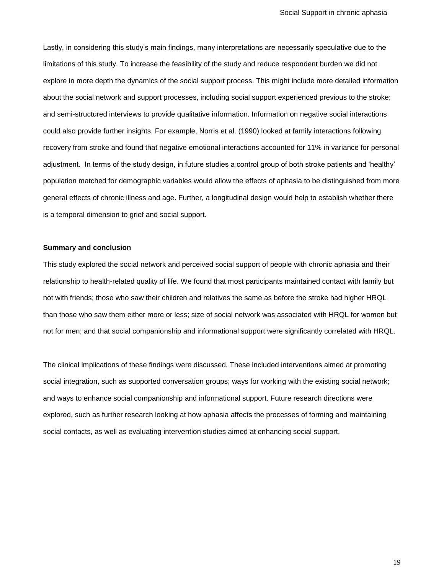Lastly, in considering this study's main findings, many interpretations are necessarily speculative due to the limitations of this study. To increase the feasibility of the study and reduce respondent burden we did not explore in more depth the dynamics of the social support process. This might include more detailed information about the social network and support processes, including social support experienced previous to the stroke; and semi-structured interviews to provide qualitative information. Information on negative social interactions could also provide further insights. For example, Norris et al. (1990) looked at family interactions following recovery from stroke and found that negative emotional interactions accounted for 11% in variance for personal adjustment. In terms of the study design, in future studies a control group of both stroke patients and 'healthy' population matched for demographic variables would allow the effects of aphasia to be distinguished from more general effects of chronic illness and age. Further, a longitudinal design would help to establish whether there is a temporal dimension to grief and social support.

#### **Summary and conclusion**

This study explored the social network and perceived social support of people with chronic aphasia and their relationship to health-related quality of life. We found that most participants maintained contact with family but not with friends; those who saw their children and relatives the same as before the stroke had higher HRQL than those who saw them either more or less; size of social network was associated with HRQL for women but not for men; and that social companionship and informational support were significantly correlated with HRQL.

The clinical implications of these findings were discussed. These included interventions aimed at promoting social integration, such as supported conversation groups; ways for working with the existing social network; and ways to enhance social companionship and informational support. Future research directions were explored, such as further research looking at how aphasia affects the processes of forming and maintaining social contacts, as well as evaluating intervention studies aimed at enhancing social support.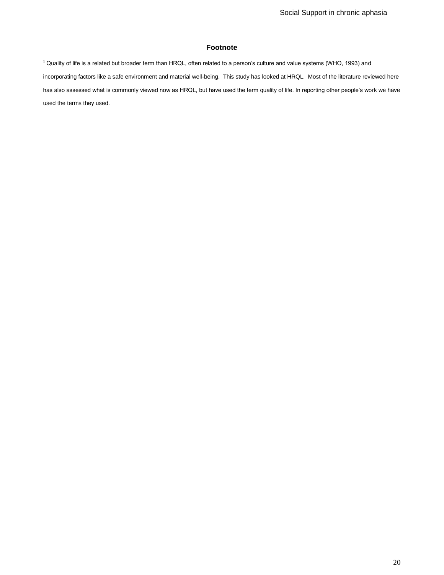#### **Footnote**

 $1$  Quality of life is a related but broader term than HRQL, often related to a person's culture and value systems (WHO, 1993) and incorporating factors like a safe environment and material well-being. This study has looked at HRQL. Most of the literature reviewed here has also assessed what is commonly viewed now as HRQL, but have used the term quality of life. In reporting other people's work we have used the terms they used.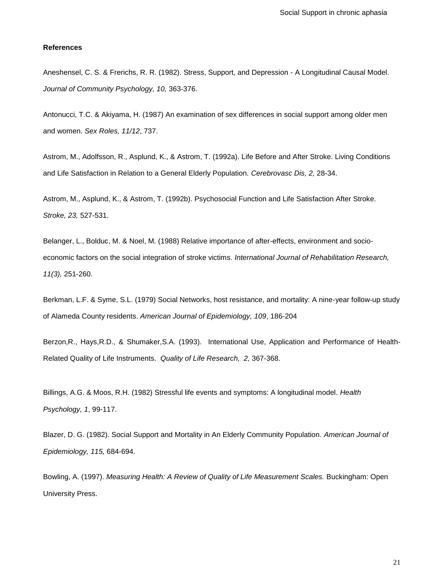#### **References**

Aneshensel, C. S. & Frerichs, R. R. (1982). Stress, Support, and Depression - A Longitudinal Causal Model. *Journal of Community Psychology, 10,* 363-376.

Antonucci, T.C. & Akiyama, H. (1987) An examination of sex differences in social support among older men and women. *Sex Roles, 11/12*, 737.

Astrom, M., Adolfsson, R., Asplund, K., & Astrom, T. (1992a). Life Before and After Stroke. Living Conditions and Life Satisfaction in Relation to a General Elderly Population. *Cerebrovasc Dis, 2,* 28-34.

Astrom, M., Asplund, K., & Astrom, T. (1992b). Psychosocial Function and Life Satisfaction After Stroke. *Stroke, 23,* 527-531.

Belanger, L., Bolduc, M. & Noel, M. (1988) Relative importance of after-effects, environment and socioeconomic factors on the social integration of stroke victims. *International Journal of Rehabilitation Research, 11(3),* 251-260.

Berkman, L.F. & Syme, S.L. (1979) Social Networks, host resistance, and mortality: A nine-year follow-up study of Alameda County residents. *American Journal of Epidemiology, 109*, 186-204

Berzon,R., Hays,R.D., & Shumaker,S.A. (1993). International Use, Application and Performance of Health-Related Quality of Life Instruments. *Quality of Life Research, 2,* 367-368.

Billings, A.G. & Moos, R.H. (1982) Stressful life events and symptoms: A longitudinal model. *Health Psychology, 1*, 99-117.

Blazer, D. G. (1982). Social Support and Mortality in An Elderly Community Population. *American Journal of Epidemiology, 115,* 684-694.

Bowling, A. (1997). *Measuring Health: A Review of Quality of Life Measurement Scales.* Buckingham: Open University Press.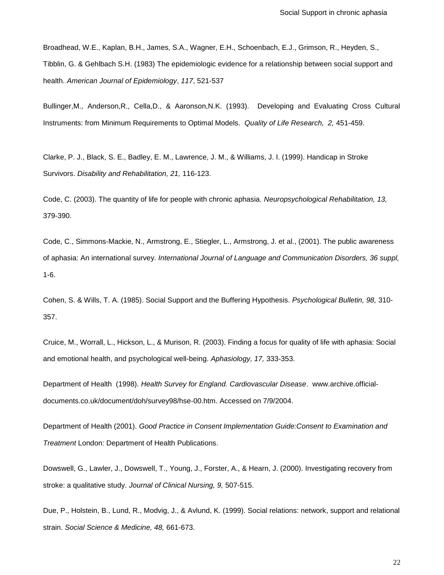Broadhead, W.E., Kaplan, B.H., James, S.A., Wagner, E.H., Schoenbach, E.J., Grimson, R., Heyden, S., Tibblin, G. & Gehlbach S.H. (1983) The epidemiologic evidence for a relationship between social support and health. *American Journal of Epidemiology*, *117*, 521-537

Bullinger,M., Anderson,R., Cella,D., & Aaronson,N.K. (1993). Developing and Evaluating Cross Cultural Instruments: from Minimum Requirements to Optimal Models. *Quality of Life Research, 2,* 451-459.

Clarke, P. J., Black, S. E., Badley, E. M., Lawrence, J. M., & Williams, J. I. (1999). Handicap in Stroke Survivors. *Disability and Rehabilitation, 21,* 116-123.

Code, C. (2003). The quantity of life for people with chronic aphasia. *Neuropsychological Rehabilitation, 13,* 379-390.

Code, C., Simmons-Mackie, N., Armstrong, E., Stiegler, L., Armstrong, J. et al., (2001). The public awareness of aphasia: An international survey. *International Journal of Language and Communication Disorders, 36 suppl,* 1-6.

Cohen, S. & Wills, T. A. (1985). Social Support and the Buffering Hypothesis. *Psychological Bulletin, 98,* 310- 357.

Cruice, M., Worrall, L., Hickson, L., & Murison, R. (2003). Finding a focus for quality of life with aphasia: Social and emotional health, and psychological well-being. *Aphasiology, 17,* 333-353.

Department of Health (1998). *Health Survey for England. Cardiovascular Disease*. www.archive.officialdocuments.co.uk/document/doh/survey98/hse-00.htm. Accessed on 7/9/2004.

Department of Health (2001). *Good Practice in Consent Implementation Guide:Consent to Examination and Treatment* London: Department of Health Publications.

Dowswell, G., Lawler, J., Dowswell, T., Young, J., Forster, A., & Hearn, J. (2000). Investigating recovery from stroke: a qualitative study. *Journal of Clinical Nursing, 9,* 507-515.

Due, P., Holstein, B., Lund, R., Modvig, J., & Avlund, K. (1999). Social relations: network, support and relational strain. *Social Science & Medicine, 48,* 661-673.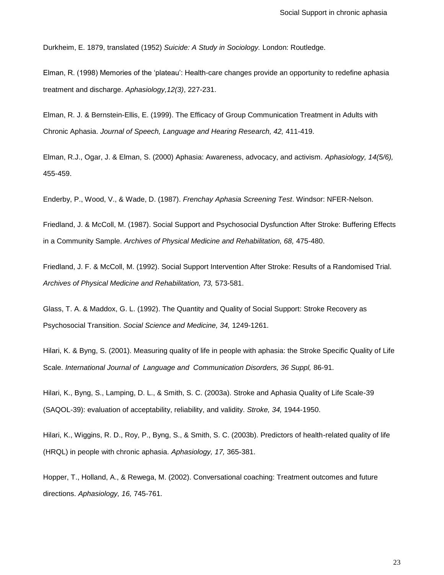Durkheim, E. 1879, translated (1952) *Suicide: A Study in Sociology.* London: Routledge.

Elman, R. (1998) Memories of the 'plateau': Health-care changes provide an opportunity to redefine aphasia treatment and discharge. *Aphasiology,12(3)*, 227-231.

Elman, R. J. & Bernstein-Ellis, E. (1999). The Efficacy of Group Communication Treatment in Adults with Chronic Aphasia. *Journal of Speech, Language and Hearing Research, 42,* 411-419.

Elman, R.J., Ogar, J. & Elman, S. (2000) Aphasia: Awareness, advocacy, and activism. *Aphasiology, 14(5/6),* 455-459.

Enderby, P., Wood, V., & Wade, D. (1987). *Frenchay Aphasia Screening Test*. Windsor: NFER-Nelson.

Friedland, J. & McColl, M. (1987). Social Support and Psychosocial Dysfunction After Stroke: Buffering Effects in a Community Sample. *Archives of Physical Medicine and Rehabilitation, 68,* 475-480.

Friedland, J. F. & McColl, M. (1992). Social Support Intervention After Stroke: Results of a Randomised Trial. *Archives of Physical Medicine and Rehabilitation, 73,* 573-581.

Glass, T. A. & Maddox, G. L. (1992). The Quantity and Quality of Social Support: Stroke Recovery as Psychosocial Transition. *Social Science and Medicine, 34,* 1249-1261.

Hilari, K. & Byng, S. (2001). Measuring quality of life in people with aphasia: the Stroke Specific Quality of Life Scale. *International Journal of Language and Communication Disorders, 36 Suppl,* 86-91.

Hilari, K., Byng, S., Lamping, D. L., & Smith, S. C. (2003a). Stroke and Aphasia Quality of Life Scale-39 (SAQOL-39): evaluation of acceptability, reliability, and validity. *Stroke, 34,* 1944-1950.

Hilari, K., Wiggins, R. D., Roy, P., Byng, S., & Smith, S. C. (2003b). Predictors of health-related quality of life (HRQL) in people with chronic aphasia. *Aphasiology, 17,* 365-381.

Hopper, T., Holland, A., & Rewega, M. (2002). Conversational coaching: Treatment outcomes and future directions. *Aphasiology, 16,* 745-761.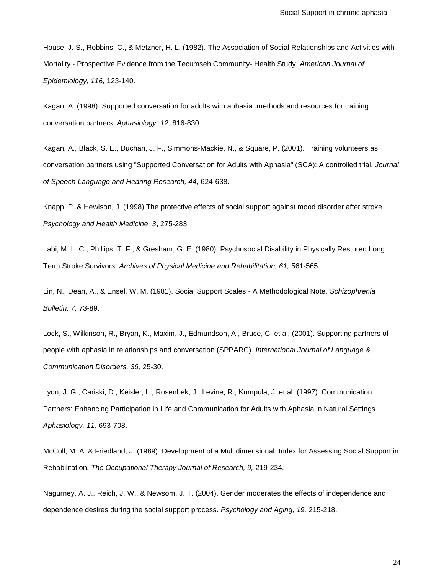House, J. S., Robbins, C., & Metzner, H. L. (1982). The Association of Social Relationships and Activities with Mortality - Prospective Evidence from the Tecumseh Community- Health Study. *American Journal of Epidemiology, 116,* 123-140.

Kagan, A. (1998). Supported conversation for adults with aphasia: methods and resources for training conversation partners. *Aphasiology, 12,* 816-830.

Kagan, A., Black, S. E., Duchan, J. F., Simmons-Mackie, N., & Square, P. (2001). Training volunteers as conversation partners using "Supported Conversation for Adults with Aphasia" (SCA): A controlled trial. *Journal of Speech Language and Hearing Research, 44,* 624-638.

Knapp, P. & Hewison, J. (1998) The protective effects of social support against mood disorder after stroke. *Psychology and Health Medicine, 3*, 275-283.

Labi, M. L. C., Phillips, T. F., & Gresham, G. E. (1980). Psychosocial Disability in Physically Restored Long Term Stroke Survivors. *Archives of Physical Medicine and Rehabilitation, 61,* 561-565.

Lin, N., Dean, A., & Ensel, W. M. (1981). Social Support Scales - A Methodological Note. *Schizophrenia Bulletin, 7,* 73-89.

Lock, S., Wilkinson, R., Bryan, K., Maxim, J., Edmundson, A., Bruce, C. et al. (2001). Supporting partners of people with aphasia in relationships and conversation (SPPARC). *International Journal of Language & Communication Disorders, 36,* 25-30.

Lyon, J. G., Cariski, D., Keisler, L., Rosenbek, J., Levine, R., Kumpula, J. et al. (1997). Communication Partners: Enhancing Participation in Life and Communication for Adults with Aphasia in Natural Settings. *Aphasiology, 11,* 693-708.

McColl, M. A. & Friedland, J. (1989). Development of a Multidimensional Index for Assessing Social Support in Rehabilitation. *The Occupational Therapy Journal of Research, 9,* 219-234.

Nagurney, A. J., Reich, J. W., & Newsom, J. T. (2004). Gender moderates the effects of independence and dependence desires during the social support process. *Psychology and Aging, 19,* 215-218.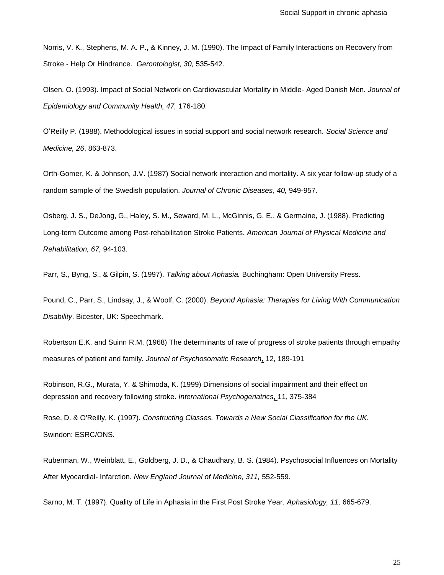Norris, V. K., Stephens, M. A. P., & Kinney, J. M. (1990). The Impact of Family Interactions on Recovery from Stroke - Help Or Hindrance. *Gerontologist, 30,* 535-542.

Olsen, O. (1993). Impact of Social Network on Cardiovascular Mortality in Middle- Aged Danish Men. *Journal of Epidemiology and Community Health, 47,* 176-180.

O'Reilly P. (1988). Methodological issues in social support and social network research. *Social Science and Medicine, 26*, 863-873.

Orth-Gomer, K. & Johnson, J.V. (1987) Social network interaction and mortality. A six year follow-up study of a random sample of the Swedish population. *Journal of Chronic Diseases*, *40,* 949-957.

Osberg, J. S., DeJong, G., Haley, S. M., Seward, M. L., McGinnis, G. E., & Germaine, J. (1988). Predicting Long-term Outcome among Post-rehabilitation Stroke Patients. *American Journal of Physical Medicine and Rehabilitation, 67,* 94-103.

Parr, S., Byng, S., & Gilpin, S. (1997). *Talking about Aphasia.* Buchingham: Open University Press.

Pound, C., Parr, S., Lindsay, J., & Woolf, C. (2000). *Beyond Aphasia: Therapies for Living With Communication Disability*. Bicester, UK: Speechmark.

Robertson E.K. and Suinn R.M. (1968) The determinants of rate of progress of stroke patients through empathy measures of patient and family. *Journal of Psychosomatic Research*, 12, 189-191

Robinson, R.G., Murata, Y. & Shimoda, K. (1999) Dimensions of social impairment and their effect on depression and recovery following stroke. *International Psychogeriatrics*, 11, 375-384

Rose, D. & O'Reilly, K. (1997). *Constructing Classes. Towards a New Social Classification for the UK*. Swindon: ESRC/ONS.

Ruberman, W., Weinblatt, E., Goldberg, J. D., & Chaudhary, B. S. (1984). Psychosocial Influences on Mortality After Myocardial- Infarction. *New England Journal of Medicine, 311,* 552-559.

Sarno, M. T. (1997). Quality of Life in Aphasia in the First Post Stroke Year. *Aphasiology, 11,* 665-679.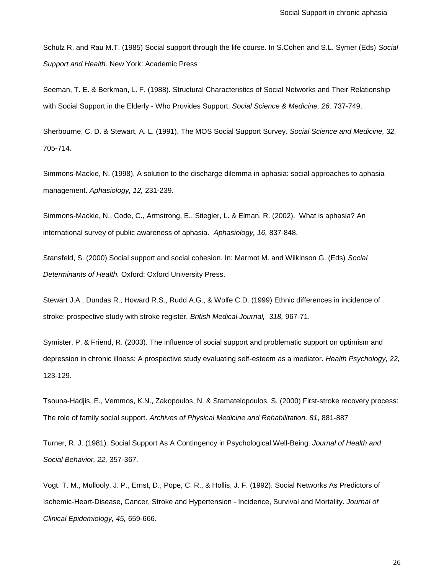Schulz R. and Rau M.T. (1985) Social support through the life course. In S.Cohen and S.L. Symer (Eds) *Social Support and Health*. New York: Academic Press

Seeman, T. E. & Berkman, L. F. (1988). Structural Characteristics of Social Networks and Their Relationship with Social Support in the Elderly - Who Provides Support. *Social Science & Medicine, 26,* 737-749.

Sherbourne, C. D. & Stewart, A. L. (1991). The MOS Social Support Survey. *Social Science and Medicine, 32,* 705-714.

Simmons-Mackie, N. (1998). A solution to the discharge dilemma in aphasia: social approaches to aphasia management. *Aphasiology, 12,* 231-239.

Simmons-Mackie, N., Code, C., Armstrong, E., Stiegler, L. & Elman, R. (2002). What is aphasia? An international survey of public awareness of aphasia. *Aphasiology, 16,* 837-848.

Stansfeld, S. (2000) Social support and social cohesion. In: Marmot M. and Wilkinson G. (Eds) *Social Determinants of Health.* Oxford: Oxford University Press.

Stewart J.A., Dundas R., Howard R.S., Rudd A.G., & Wolfe C.D. (1999) Ethnic differences in incidence of stroke: prospective study with stroke register. *British Medical Journal, 318,* 967-71.

Symister, P. & Friend, R. (2003). The influence of social support and problematic support on optimism and depression in chronic illness: A prospective study evaluating self-esteem as a mediator. *Health Psychology, 22,* 123-129.

Tsouna-Hadjis, E., Vemmos, K.N., Zakopoulos, N. & Stamatelopoulos, S. (2000) First-stroke recovery process: The role of family social support. *Archives of Physical Medicine and Rehabilitation, 81*, 881-887

Turner, R. J. (1981). Social Support As A Contingency in Psychological Well-Being. *Journal of Health and Social Behavior, 22,* 357-367.

Vogt, T. M., Mullooly, J. P., Ernst, D., Pope, C. R., & Hollis, J. F. (1992). Social Networks As Predictors of Ischemic-Heart-Disease, Cancer, Stroke and Hypertension - Incidence, Survival and Mortality. *Journal of Clinical Epidemiology, 45,* 659-666.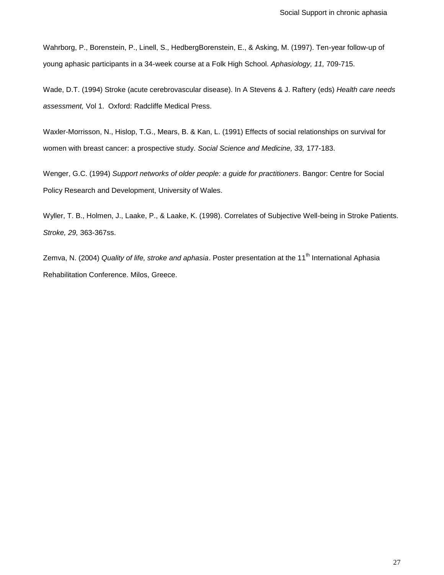Wahrborg, P., Borenstein, P., Linell, S., HedbergBorenstein, E., & Asking, M. (1997). Ten-year follow-up of young aphasic participants in a 34-week course at a Folk High School. *Aphasiology, 11,* 709-715.

Wade, D.T. (1994) Stroke (acute cerebrovascular disease). In A Stevens & J. Raftery (eds) *Health care needs assessment,* Vol 1. Oxford: Radcliffe Medical Press.

Waxler-Morrisson, N., Hislop, T.G., Mears, B. & Kan, L. (1991) Effects of social relationships on survival for women with breast cancer: a prospective study. *Social Science and Medicine, 33,* 177-183.

Wenger, G.C. (1994) *Support networks of older people: a guide for practitioners*. Bangor: Centre for Social Policy Research and Development, University of Wales.

Wyller, T. B., Holmen, J., Laake, P., & Laake, K. (1998). Correlates of Subjective Well-being in Stroke Patients. *Stroke, 29,* 363-367ss.

Zemva, N. (2004) *Quality of life, stroke and aphasia*. Poster presentation at the 11<sup>th</sup> International Aphasia Rehabilitation Conference. Milos, Greece.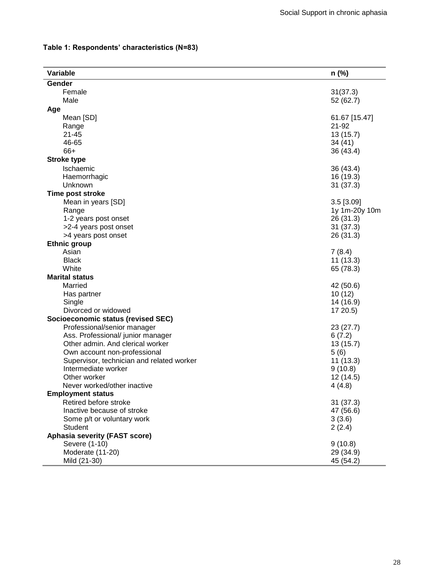**Table 1: Respondents' characteristics (N=83)**

| Variable                                                | n (%)            |
|---------------------------------------------------------|------------------|
| Gender                                                  |                  |
| Female                                                  | 31(37.3)         |
| Male                                                    | 52 (62.7)        |
| Age                                                     |                  |
| Mean [SD]                                               | 61.67 [15.47]    |
| Range                                                   | 21-92            |
| $21 - 45$                                               | 13(15.7)         |
| 46-65                                                   | 34 (41)          |
| 66+                                                     | 36 (43.4)        |
| <b>Stroke type</b>                                      |                  |
| Ischaemic                                               | 36 (43.4)        |
| Haemorrhagic                                            | 16 (19.3)        |
| Unknown                                                 | 31(37.3)         |
| Time post stroke                                        |                  |
| Mean in years [SD]                                      | $3.5$ [ $3.09$ ] |
| Range                                                   | 1y 1m-20y 10m    |
| 1-2 years post onset                                    | 26 (31.3)        |
| >2-4 years post onset                                   | 31(37.3)         |
| >4 years post onset                                     | 26 (31.3)        |
| <b>Ethnic group</b>                                     |                  |
| Asian                                                   | 7(8.4)           |
| <b>Black</b>                                            | 11(13.3)         |
| White                                                   | 65 (78.3)        |
| <b>Marital status</b>                                   |                  |
| Married                                                 | 42 (50.6)        |
| Has partner                                             | 10(12)           |
| Single                                                  | 14 (16.9)        |
| Divorced or widowed                                     | 1720.5           |
| Socioeconomic status (revised SEC)                      |                  |
| Professional/senior manager                             | 23 (27.7)        |
| Ass. Professional/ junior manager                       | 6(7.2)           |
| Other admin. And clerical worker                        | 13(15.7)         |
| Own account non-professional                            | 5(6)             |
| Supervisor, technician and related worker               | 11(13.3)         |
| Intermediate worker                                     | 9(10.8)          |
| Other worker                                            | 12 (14.5)        |
| Never worked/other inactive<br><b>Employment status</b> | 4(4.8)           |
| Retired before stroke                                   |                  |
| Inactive because of stroke                              | 31(37.3)         |
| Some p/t or voluntary work                              | 47 (56.6)        |
| <b>Student</b>                                          | 3(3.6)           |
| Aphasia severity (FAST score)                           | 2(2.4)           |
| Severe (1-10)                                           | 9(10.8)          |
| Moderate (11-20)                                        | 29 (34.9)        |
| Mild (21-30)                                            | 45 (54.2)        |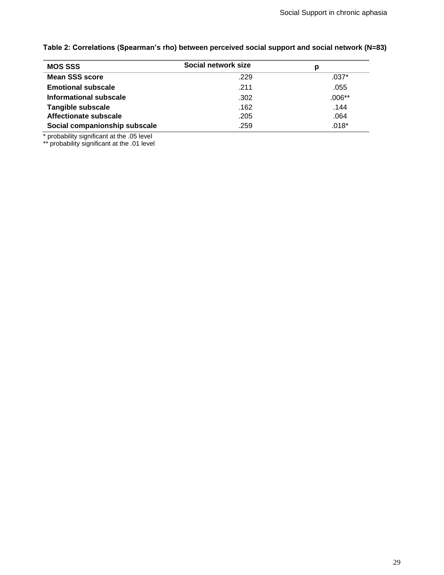**Table 2: Correlations (Spearman's rho) between perceived social support and social network (N=83)**

| <b>MOS SSS</b>                | Social network size | р        |
|-------------------------------|---------------------|----------|
| <b>Mean SSS score</b>         | .229                | .037*    |
| <b>Emotional subscale</b>     | .211                | .055     |
| <b>Informational subscale</b> | .302                | $.006**$ |
| Tangible subscale             | .162                | .144     |
| Affectionate subscale         | .205                | .064     |
| Social companionship subscale | .259                | $.018*$  |

\* probability significant at the .05 level

\*\* probability significant at the .01 level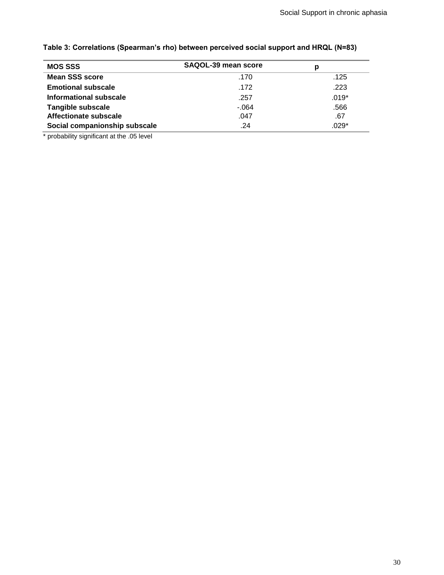| SAQOL-39 mean score | p       |  |
|---------------------|---------|--|
| .170                | .125    |  |
| .172                | .223    |  |
| .257                | $.019*$ |  |
| $-.064$             | .566    |  |
| .047                | .67     |  |
| .24                 | $.029*$ |  |
|                     |         |  |

**Table 3: Correlations (Spearman's rho) between perceived social support and HRQL (N=83)**

\* probability significant at the .05 level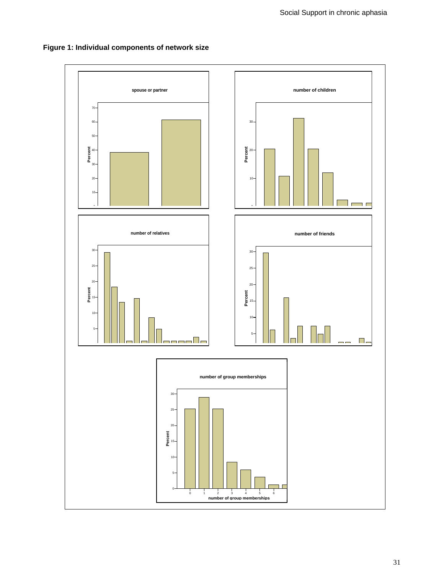

## **Figure 1: Individual components of network size**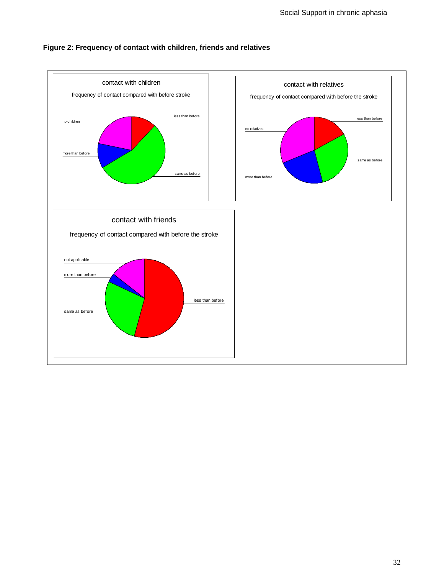

### **Figure 2: Frequency of contact with children, friends and relatives**